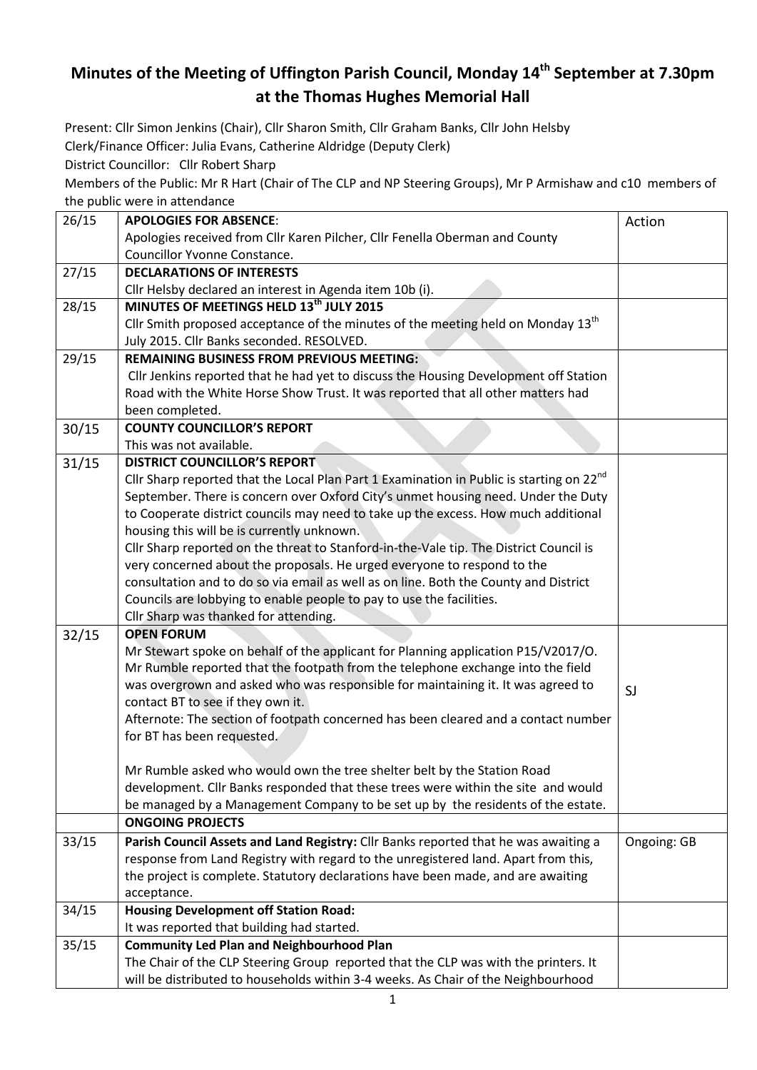## **Minutes of the Meeting of Uffington Parish Council, Monday 14th September at 7.30pm at the Thomas Hughes Memorial Hall**

Present: Cllr Simon Jenkins (Chair), Cllr Sharon Smith, Cllr Graham Banks, Cllr John Helsby Clerk/Finance Officer: Julia Evans, Catherine Aldridge (Deputy Clerk)

District Councillor: Cllr Robert Sharp

Members of the Public: Mr R Hart (Chair of The CLP and NP Steering Groups), Mr P Armishaw and c10 members of the public were in attendance

| 26/15 | <b>APOLOGIES FOR ABSENCE:</b>                                                                                                                                          | Action      |
|-------|------------------------------------------------------------------------------------------------------------------------------------------------------------------------|-------------|
|       | Apologies received from Cllr Karen Pilcher, Cllr Fenella Oberman and County                                                                                            |             |
|       | Councillor Yvonne Constance.                                                                                                                                           |             |
| 27/15 | <b>DECLARATIONS OF INTERESTS</b>                                                                                                                                       |             |
|       | Cllr Helsby declared an interest in Agenda item 10b (i).                                                                                                               |             |
| 28/15 | MINUTES OF MEETINGS HELD 13 <sup>th</sup> JULY 2015                                                                                                                    |             |
|       | Cllr Smith proposed acceptance of the minutes of the meeting held on Monday 13 <sup>th</sup>                                                                           |             |
|       | July 2015. Cllr Banks seconded. RESOLVED.                                                                                                                              |             |
| 29/15 | <b>REMAINING BUSINESS FROM PREVIOUS MEETING:</b>                                                                                                                       |             |
|       | Cllr Jenkins reported that he had yet to discuss the Housing Development off Station                                                                                   |             |
|       | Road with the White Horse Show Trust. It was reported that all other matters had                                                                                       |             |
|       | been completed.                                                                                                                                                        |             |
| 30/15 | <b>COUNTY COUNCILLOR'S REPORT</b>                                                                                                                                      |             |
|       | This was not available.                                                                                                                                                |             |
| 31/15 | <b>DISTRICT COUNCILLOR'S REPORT</b>                                                                                                                                    |             |
|       | Cllr Sharp reported that the Local Plan Part 1 Examination in Public is starting on 22 <sup>nd</sup>                                                                   |             |
|       | September. There is concern over Oxford City's unmet housing need. Under the Duty                                                                                      |             |
|       | to Cooperate district councils may need to take up the excess. How much additional                                                                                     |             |
|       | housing this will be is currently unknown.                                                                                                                             |             |
|       | Cllr Sharp reported on the threat to Stanford-in-the-Vale tip. The District Council is                                                                                 |             |
|       | very concerned about the proposals. He urged everyone to respond to the                                                                                                |             |
|       | consultation and to do so via email as well as on line. Both the County and District                                                                                   |             |
|       | Councils are lobbying to enable people to pay to use the facilities.                                                                                                   |             |
|       | Cllr Sharp was thanked for attending.                                                                                                                                  |             |
| 32/15 | <b>OPEN FORUM</b>                                                                                                                                                      |             |
|       | Mr Stewart spoke on behalf of the applicant for Planning application P15/V2017/O.                                                                                      |             |
|       | Mr Rumble reported that the footpath from the telephone exchange into the field                                                                                        |             |
|       | was overgrown and asked who was responsible for maintaining it. It was agreed to                                                                                       | SJ          |
|       | contact BT to see if they own it.                                                                                                                                      |             |
|       | Afternote: The section of footpath concerned has been cleared and a contact number                                                                                     |             |
|       | for BT has been requested.                                                                                                                                             |             |
|       |                                                                                                                                                                        |             |
|       | Mr Rumble asked who would own the tree shelter belt by the Station Road<br>development. Cllr Banks responded that these trees were within the site and would           |             |
|       | be managed by a Management Company to be set up by the residents of the estate.                                                                                        |             |
|       | <b>ONGOING PROJECTS</b>                                                                                                                                                |             |
|       | Parish Council Assets and Land Registry: Cllr Banks reported that he was awaiting a                                                                                    |             |
| 33/15 |                                                                                                                                                                        | Ongoing: GB |
|       | response from Land Registry with regard to the unregistered land. Apart from this,<br>the project is complete. Statutory declarations have been made, and are awaiting |             |
|       | acceptance.                                                                                                                                                            |             |
| 34/15 | <b>Housing Development off Station Road:</b>                                                                                                                           |             |
|       | It was reported that building had started.                                                                                                                             |             |
| 35/15 | <b>Community Led Plan and Neighbourhood Plan</b>                                                                                                                       |             |
|       | The Chair of the CLP Steering Group reported that the CLP was with the printers. It                                                                                    |             |
|       | will be distributed to households within 3-4 weeks. As Chair of the Neighbourhood                                                                                      |             |
|       |                                                                                                                                                                        |             |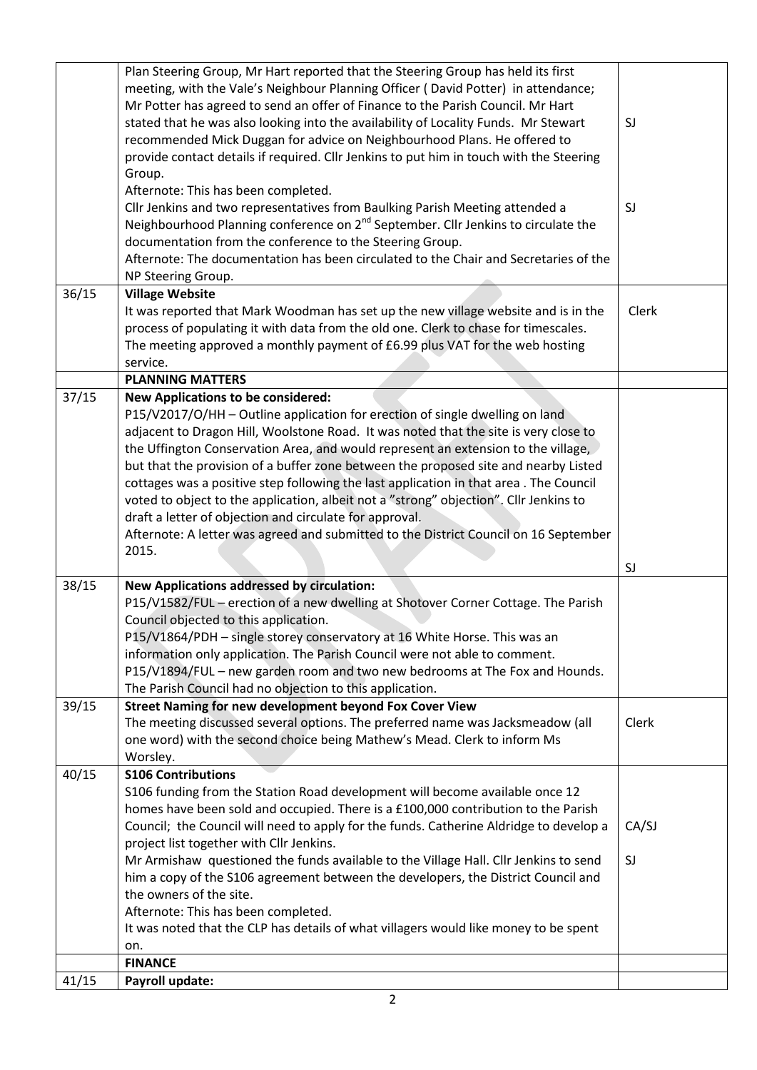| Plan Steering Group, Mr Hart reported that the Steering Group has held its first<br>meeting, with the Vale's Neighbour Planning Officer (David Potter) in attendance;<br>Mr Potter has agreed to send an offer of Finance to the Parish Council. Mr Hart<br>stated that he was also looking into the availability of Locality Funds. Mr Stewart<br>SJ<br>recommended Mick Duggan for advice on Neighbourhood Plans. He offered to<br>provide contact details if required. Cllr Jenkins to put him in touch with the Steering<br>Group.<br>Afternote: This has been completed.<br>Cllr Jenkins and two representatives from Baulking Parish Meeting attended a<br>SJ<br>Neighbourhood Planning conference on 2 <sup>nd</sup> September. Cllr Jenkins to circulate the<br>documentation from the conference to the Steering Group.<br>Afternote: The documentation has been circulated to the Chair and Secretaries of the<br>NP Steering Group.<br>36/15<br><b>Village Website</b><br>Clerk<br>It was reported that Mark Woodman has set up the new village website and is in the<br>process of populating it with data from the old one. Clerk to chase for timescales.<br>The meeting approved a monthly payment of £6.99 plus VAT for the web hosting<br>service.<br><b>PLANNING MATTERS</b><br>37/15<br><b>New Applications to be considered:</b><br>P15/V2017/O/HH - Outline application for erection of single dwelling on land<br>adjacent to Dragon Hill, Woolstone Road. It was noted that the site is very close to<br>the Uffington Conservation Area, and would represent an extension to the village,<br>but that the provision of a buffer zone between the proposed site and nearby Listed<br>cottages was a positive step following the last application in that area. The Council<br>voted to object to the application, albeit not a "strong" objection". Cllr Jenkins to<br>draft a letter of objection and circulate for approval.<br>Afternote: A letter was agreed and submitted to the District Council on 16 September<br>2015.<br>SJ<br>38/15<br><b>New Applications addressed by circulation:</b><br>P15/V1582/FUL - erection of a new dwelling at Shotover Corner Cottage. The Parish<br>Council objected to this application.<br>P15/V1864/PDH - single storey conservatory at 16 White Horse. This was an<br>information only application. The Parish Council were not able to comment.<br>P15/V1894/FUL - new garden room and two new bedrooms at The Fox and Hounds.<br>The Parish Council had no objection to this application.<br>39/15<br>Street Naming for new development beyond Fox Cover View<br>The meeting discussed several options. The preferred name was Jacksmeadow (all<br>Clerk<br>one word) with the second choice being Mathew's Mead. Clerk to inform Ms<br>Worsley.<br>40/15<br><b>S106 Contributions</b><br>\$106 funding from the Station Road development will become available once 12<br>homes have been sold and occupied. There is a £100,000 contribution to the Parish<br>Council; the Council will need to apply for the funds. Catherine Aldridge to develop a<br>CA/SJ<br>project list together with Cllr Jenkins.<br>Mr Armishaw questioned the funds available to the Village Hall. Cllr Jenkins to send<br>SJ<br>him a copy of the S106 agreement between the developers, the District Council and<br>the owners of the site.<br>Afternote: This has been completed.<br>It was noted that the CLP has details of what villagers would like money to be spent |     |  |
|-------------------------------------------------------------------------------------------------------------------------------------------------------------------------------------------------------------------------------------------------------------------------------------------------------------------------------------------------------------------------------------------------------------------------------------------------------------------------------------------------------------------------------------------------------------------------------------------------------------------------------------------------------------------------------------------------------------------------------------------------------------------------------------------------------------------------------------------------------------------------------------------------------------------------------------------------------------------------------------------------------------------------------------------------------------------------------------------------------------------------------------------------------------------------------------------------------------------------------------------------------------------------------------------------------------------------------------------------------------------------------------------------------------------------------------------------------------------------------------------------------------------------------------------------------------------------------------------------------------------------------------------------------------------------------------------------------------------------------------------------------------------------------------------------------------------------------------------------------------------------------------------------------------------------------------------------------------------------------------------------------------------------------------------------------------------------------------------------------------------------------------------------------------------------------------------------------------------------------------------------------------------------------------------------------------------------------------------------------------------------------------------------------------------------------------------------------------------------------------------------------------------------------------------------------------------------------------------------------------------------------------------------------------------------------------------------------------------------------------------------------------------------------------------------------------------------------------------------------------------------------------------------------------------------------------------------------------------------------------------------------------------------------------------------------------------------------------------------------------------------------------------------------------------------------------------------------------------------------------------------------------------------------------------------------------------------------------------------------------------------------------------------------------------------------------------------------------------------------------------------------------------------------|-----|--|
|                                                                                                                                                                                                                                                                                                                                                                                                                                                                                                                                                                                                                                                                                                                                                                                                                                                                                                                                                                                                                                                                                                                                                                                                                                                                                                                                                                                                                                                                                                                                                                                                                                                                                                                                                                                                                                                                                                                                                                                                                                                                                                                                                                                                                                                                                                                                                                                                                                                                                                                                                                                                                                                                                                                                                                                                                                                                                                                                                                                                                                                                                                                                                                                                                                                                                                                                                                                                                                                                                                                               |     |  |
|                                                                                                                                                                                                                                                                                                                                                                                                                                                                                                                                                                                                                                                                                                                                                                                                                                                                                                                                                                                                                                                                                                                                                                                                                                                                                                                                                                                                                                                                                                                                                                                                                                                                                                                                                                                                                                                                                                                                                                                                                                                                                                                                                                                                                                                                                                                                                                                                                                                                                                                                                                                                                                                                                                                                                                                                                                                                                                                                                                                                                                                                                                                                                                                                                                                                                                                                                                                                                                                                                                                               |     |  |
|                                                                                                                                                                                                                                                                                                                                                                                                                                                                                                                                                                                                                                                                                                                                                                                                                                                                                                                                                                                                                                                                                                                                                                                                                                                                                                                                                                                                                                                                                                                                                                                                                                                                                                                                                                                                                                                                                                                                                                                                                                                                                                                                                                                                                                                                                                                                                                                                                                                                                                                                                                                                                                                                                                                                                                                                                                                                                                                                                                                                                                                                                                                                                                                                                                                                                                                                                                                                                                                                                                                               |     |  |
|                                                                                                                                                                                                                                                                                                                                                                                                                                                                                                                                                                                                                                                                                                                                                                                                                                                                                                                                                                                                                                                                                                                                                                                                                                                                                                                                                                                                                                                                                                                                                                                                                                                                                                                                                                                                                                                                                                                                                                                                                                                                                                                                                                                                                                                                                                                                                                                                                                                                                                                                                                                                                                                                                                                                                                                                                                                                                                                                                                                                                                                                                                                                                                                                                                                                                                                                                                                                                                                                                                                               |     |  |
|                                                                                                                                                                                                                                                                                                                                                                                                                                                                                                                                                                                                                                                                                                                                                                                                                                                                                                                                                                                                                                                                                                                                                                                                                                                                                                                                                                                                                                                                                                                                                                                                                                                                                                                                                                                                                                                                                                                                                                                                                                                                                                                                                                                                                                                                                                                                                                                                                                                                                                                                                                                                                                                                                                                                                                                                                                                                                                                                                                                                                                                                                                                                                                                                                                                                                                                                                                                                                                                                                                                               |     |  |
|                                                                                                                                                                                                                                                                                                                                                                                                                                                                                                                                                                                                                                                                                                                                                                                                                                                                                                                                                                                                                                                                                                                                                                                                                                                                                                                                                                                                                                                                                                                                                                                                                                                                                                                                                                                                                                                                                                                                                                                                                                                                                                                                                                                                                                                                                                                                                                                                                                                                                                                                                                                                                                                                                                                                                                                                                                                                                                                                                                                                                                                                                                                                                                                                                                                                                                                                                                                                                                                                                                                               |     |  |
|                                                                                                                                                                                                                                                                                                                                                                                                                                                                                                                                                                                                                                                                                                                                                                                                                                                                                                                                                                                                                                                                                                                                                                                                                                                                                                                                                                                                                                                                                                                                                                                                                                                                                                                                                                                                                                                                                                                                                                                                                                                                                                                                                                                                                                                                                                                                                                                                                                                                                                                                                                                                                                                                                                                                                                                                                                                                                                                                                                                                                                                                                                                                                                                                                                                                                                                                                                                                                                                                                                                               | on. |  |
| <b>FINANCE</b><br>41/15<br>Payroll update:                                                                                                                                                                                                                                                                                                                                                                                                                                                                                                                                                                                                                                                                                                                                                                                                                                                                                                                                                                                                                                                                                                                                                                                                                                                                                                                                                                                                                                                                                                                                                                                                                                                                                                                                                                                                                                                                                                                                                                                                                                                                                                                                                                                                                                                                                                                                                                                                                                                                                                                                                                                                                                                                                                                                                                                                                                                                                                                                                                                                                                                                                                                                                                                                                                                                                                                                                                                                                                                                                    |     |  |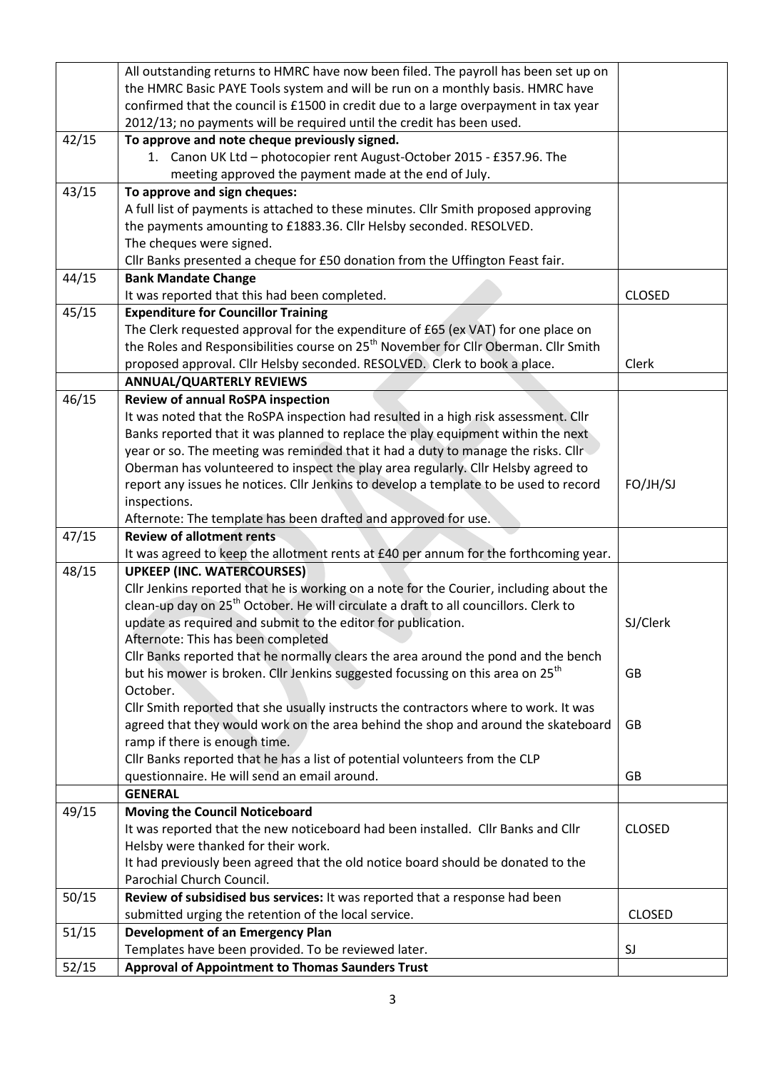|       | All outstanding returns to HMRC have now been filed. The payroll has been set up on              |               |
|-------|--------------------------------------------------------------------------------------------------|---------------|
|       | the HMRC Basic PAYE Tools system and will be run on a monthly basis. HMRC have                   |               |
|       | confirmed that the council is £1500 in credit due to a large overpayment in tax year             |               |
|       | 2012/13; no payments will be required until the credit has been used.                            |               |
| 42/15 | To approve and note cheque previously signed.                                                    |               |
|       | 1. Canon UK Ltd - photocopier rent August-October 2015 - £357.96. The                            |               |
|       | meeting approved the payment made at the end of July.                                            |               |
| 43/15 | To approve and sign cheques:                                                                     |               |
|       | A full list of payments is attached to these minutes. Cllr Smith proposed approving              |               |
|       | the payments amounting to £1883.36. Cllr Helsby seconded. RESOLVED.                              |               |
|       | The cheques were signed.                                                                         |               |
|       | Cllr Banks presented a cheque for £50 donation from the Uffington Feast fair.                    |               |
| 44/15 | <b>Bank Mandate Change</b>                                                                       |               |
|       | It was reported that this had been completed.                                                    | <b>CLOSED</b> |
| 45/15 | <b>Expenditure for Councillor Training</b>                                                       |               |
|       | The Clerk requested approval for the expenditure of £65 (ex VAT) for one place on                |               |
|       | the Roles and Responsibilities course on 25 <sup>th</sup> November for Cllr Oberman. Cllr Smith  |               |
|       | proposed approval. Cllr Helsby seconded. RESOLVED. Clerk to book a place.                        | Clerk         |
|       | <b>ANNUAL/QUARTERLY REVIEWS</b>                                                                  |               |
| 46/15 | <b>Review of annual RoSPA inspection</b>                                                         |               |
|       | It was noted that the RoSPA inspection had resulted in a high risk assessment. Cllr              |               |
|       | Banks reported that it was planned to replace the play equipment within the next                 |               |
|       | year or so. The meeting was reminded that it had a duty to manage the risks. Cllr                |               |
|       | Oberman has volunteered to inspect the play area regularly. Cllr Helsby agreed to                |               |
|       | report any issues he notices. Cllr Jenkins to develop a template to be used to record            | FO/JH/SJ      |
|       | inspections.                                                                                     |               |
|       | Afternote: The template has been drafted and approved for use.                                   |               |
| 47/15 | <b>Review of allotment rents</b>                                                                 |               |
|       | It was agreed to keep the allotment rents at £40 per annum for the forthcoming year.             |               |
| 48/15 | <b>UPKEEP (INC. WATERCOURSES)</b>                                                                |               |
|       | Cllr Jenkins reported that he is working on a note for the Courier, including about the          |               |
|       | clean-up day on 25 <sup>th</sup> October. He will circulate a draft to all councillors. Clerk to |               |
|       | update as required and submit to the editor for publication.                                     | SJ/Clerk      |
|       | Afternote: This has been completed                                                               |               |
|       | Cllr Banks reported that he normally clears the area around the pond and the bench               |               |
|       | but his mower is broken. Cllr Jenkins suggested focussing on this area on 25 <sup>th</sup>       | <b>GB</b>     |
|       | October.                                                                                         |               |
|       | Cllr Smith reported that she usually instructs the contractors where to work. It was             |               |
|       | agreed that they would work on the area behind the shop and around the skateboard                | GB            |
|       | ramp if there is enough time.                                                                    |               |
|       | Cllr Banks reported that he has a list of potential volunteers from the CLP                      |               |
|       | questionnaire. He will send an email around.                                                     | GB            |
|       | <b>GENERAL</b>                                                                                   |               |
| 49/15 | <b>Moving the Council Noticeboard</b>                                                            |               |
|       | It was reported that the new noticeboard had been installed. Cllr Banks and Cllr                 | <b>CLOSED</b> |
|       | Helsby were thanked for their work.                                                              |               |
|       | It had previously been agreed that the old notice board should be donated to the                 |               |
|       | Parochial Church Council.                                                                        |               |
| 50/15 | Review of subsidised bus services: It was reported that a response had been                      |               |
|       | submitted urging the retention of the local service.                                             | <b>CLOSED</b> |
| 51/15 | <b>Development of an Emergency Plan</b>                                                          |               |
|       | Templates have been provided. To be reviewed later.                                              | SJ            |
| 52/15 | Approval of Appointment to Thomas Saunders Trust                                                 |               |